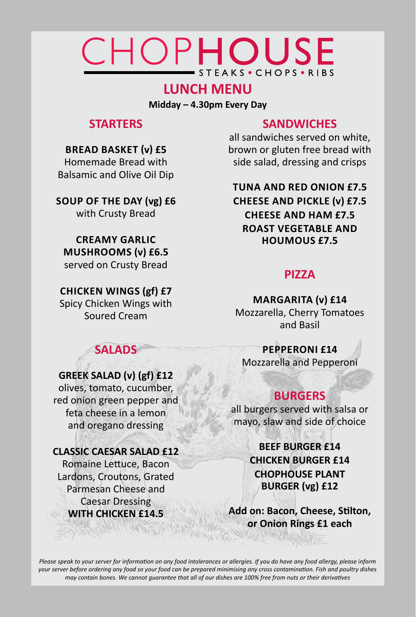# CHOPHOUSE  $\blacksquare$  STEAKS • CHOPS • RIBS

# **LUNCH MENU**

**Midday – 4.30pm Every Day**

## **STARTERS**

**Bread Basket (v) £5** Homemade Bread with Balsamic and Olive Oil Dip

**Soup of the Day (vg) £6** with Crusty Bread

**Creamy Garlic Mushrooms (v) £6.5** served on Crusty Bread

## **Chicken Wings (gf) £7**

Spicy Chicken Wings with Soured Cream

## **SANDWICHES**

all sandwiches served on white, brown or gluten free bread with side salad, dressing and crisps

**Tuna and Red Onion £7.5 Cheese and Pickle (v) £7.5 Cheese and Ham £7.5 Roast Vegetable and Houmous £7.5**

## **PIZZA**

**Margarita (v) £14** Mozzarella, Cherry Tomatoes and Basil

## **Pepperoni £14**

Mozzarella and Pepperoni

# **BURGERS**

all burgers served with salsa or mayo, slaw and side of choice

> **BEEF BURGER £14 CHICKEN BURGER £14 CHOPHOUSE PLANT BURGER (vg) £12**

**Add on: Bacon, Cheese, Stilton, or Onion Rings £1 each** 

*Please speak to your server for information on any food intolerances or allergies. If you do have any food allergy, please inform your server before ordering any food so your food can be prepared minimising any cross contamination. Fish and poultry dishes may contain bones. We cannot guarantee that all of our dishes are 100% free from nuts or their derivatives*

# **SALADS**

#### **GREEK SALAD (v) (gf) £12** olives, tomato, cucumber, red onion green pepper and feta cheese in a lemon

and oregano dressing

**CLASSIC CAESAR SALAD £12** Romaine Lettuce, Bacon Lardons, Croutons, Grated Parmesan Cheese and Caesar Dressing **WITH CHICKEN £14.5**